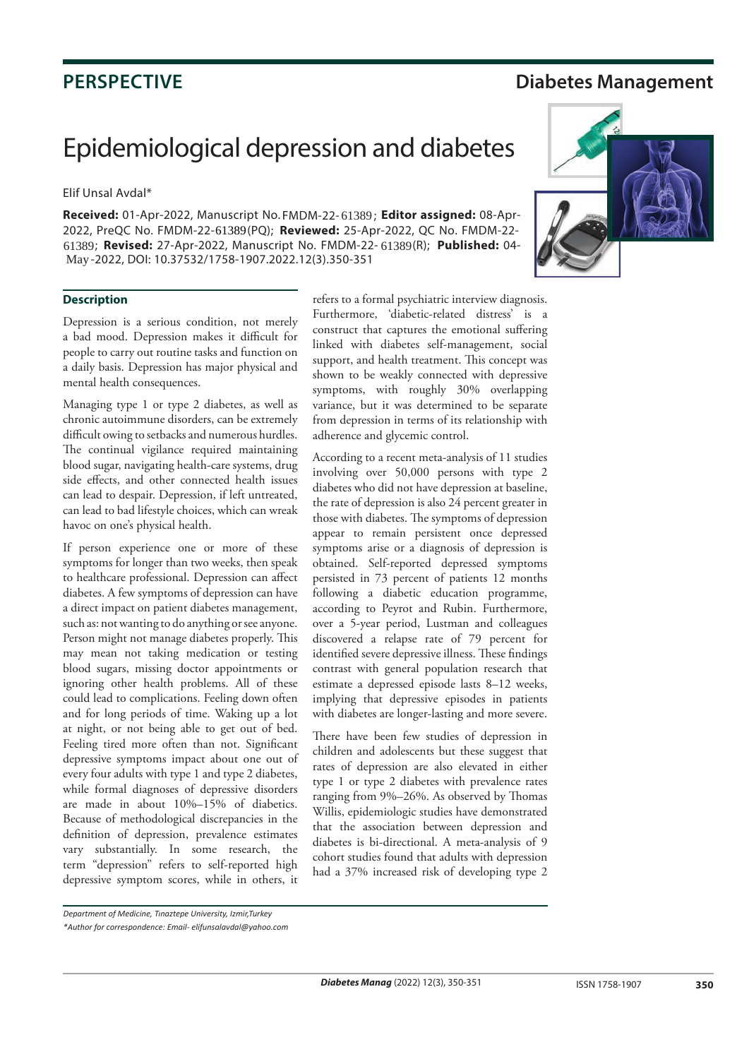## **PERSPECTIVE Diabetes Management**

# Epidemiological depression and diabetes

Elif Unsal Avdal\*

Received: 01-Apr-2022, Manuscript No. FMDM-22-61389; Editor assigned: 08-Apr-2022, PreQC No. FMDM-22-61389(PQ); Reviewed: 25-Apr-2022, QC No. FMDM-22-61389; **Revised:** 27-Apr-2022, Manuscript No. FMDM-22- 61389(R); Published: 04-May-2022, DOI: 10.37532/1758-1907.2022.12(3).350-351



### **Description**

Depression is a serious condition, not merely a bad mood. Depression makes it difficult for people to carry out routine tasks and function on a daily basis. Depression has major physical and mental health consequences.

Managing type 1 or type 2 diabetes, as well as chronic autoimmune disorders, can be extremely difficult owing to setbacks and numerous hurdles. The continual vigilance required maintaining blood sugar, navigating health-care systems, drug side effects, and other connected health issues can lead to despair. Depression, if left untreated, can lead to bad lifestyle choices, which can wreak havoc on one's physical health.

If person experience one or more of these symptoms for longer than two weeks, then speak to healthcare professional. Depression can affect diabetes. A few symptoms of depression can have a direct impact on patient diabetes management, such as: not wanting to do anything or see anyone. Person might not manage diabetes properly. This may mean not taking medication or testing blood sugars, missing doctor appointments or ignoring other health problems. All of these could lead to complications. Feeling down often and for long periods of time. Waking up a lot at night, or not being able to get out of bed. Feeling tired more often than not. Significant depressive symptoms impact about one out of every four adults with type 1 and type 2 diabetes, while formal diagnoses of depressive disorders are made in about 10%–15% of diabetics. Because of methodological discrepancies in the definition of depression, prevalence estimates vary substantially. In some research, the term "depression" refers to self-reported high depressive symptom scores, while in others, it

refers to a formal psychiatric interview diagnosis. Furthermore, 'diabetic-related distress' is a construct that captures the emotional suffering linked with diabetes self-management, social support, and health treatment. This concept was shown to be weakly connected with depressive symptoms, with roughly 30% overlapping variance, but it was determined to be separate from depression in terms of its relationship with adherence and glycemic control.

According to a recent meta-analysis of 11 studies involving over 50,000 persons with type 2 diabetes who did not have depression at baseline, the rate of depression is also 24 percent greater in those with diabetes. The symptoms of depression appear to remain persistent once depressed symptoms arise or a diagnosis of depression is obtained. Self-reported depressed symptoms persisted in 73 percent of patients 12 months following a diabetic education programme, according to Peyrot and Rubin. Furthermore, over a 5-year period, Lustman and colleagues discovered a relapse rate of 79 percent for identified severe depressive illness. These findings contrast with general population research that estimate a depressed episode lasts 8–12 weeks, implying that depressive episodes in patients with diabetes are longer-lasting and more severe.

There have been few studies of depression in children and adolescents but these suggest that rates of depression are also elevated in either type 1 or type 2 diabetes with prevalence rates ranging from 9%–26%. As observed by Thomas Willis, epidemiologic studies have demonstrated that the association between depression and diabetes is bi-directional. A meta-analysis of 9 cohort studies found that adults with depression had a 37% increased risk of developing type 2

*Department of Medicine, Tınaztepe University, Izmir,Turkey*

*<sup>\*</sup>Author for correspondence: Email- elifunsalavdal@yahoo.com*